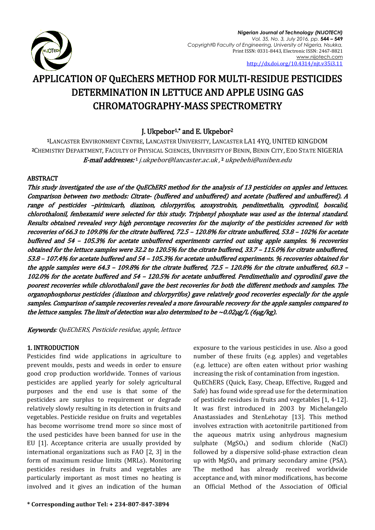

# APPLICATION OF QuEChERS METHOD FOR MULTI-RESIDUE PESTICIDES DETERMINATION IN LETTUCE AND APPLE USING GAS CHROMATOGRAPHY-MASS SPECTROMETRY

## J. Ukpebor1,\* and E. Ukpebor<sup>2</sup>

<sup>1</sup>LANCASTER ENVIRONMENT CENTRE, LANCASTER UNIVERSITY, LANCASTER LA1 4YQ, UNITED KINGDOM <sup>2</sup>CHEMISTRY DEPARTMENT, FACULTY OF PHYSICAL SCIENCES, UNIVERSITY OF BENIN, BENIN CITY, EDO STATE NIGERIA **E-mail addresses:**1 [j.ukpebor@lancaster.ac.uk](mailto:j.ukpebor@lancaster.ac.uk) ,2 [ukpebehi@uniben.edu](mailto:ukpebehi@uniben.edu)

### ABSTRACT

This study investigated the use of the QuEChERS method for the analysis of 13 pesticides on apples and lettuces. Comparison between two methods: Citrate- (buffered and unbuffered) and acetate (buffered and unbuffered). A range of pesticides –pirimicarb, diazinon, chlorpyrifos, azoxystrobin, pendimethalin, cyprodinil, boscalid, chlorothalonil, fenhexamid were selected for this study. Triphenyl phosphate was used as the internal standard. Results obtained revealed very high percentage recoveries for the majority of the pesticides screened for with recoveries of 66.3 to 109.8% for the citrate buffered, 72.5 – 120.8% for citrate unbuffered, 53.8 – 102% for acetate buffered and 54 – 105.3% for acetate unbuffered experiments carried out using apple samples. % recoveries obtained for the lettuce samples were 32.2 to 120.5% for the citrate buffered, 33.7 – 115.0% for citrate unbuffered, 53.8 – 107.4% for acetate buffered and 54 – 105.3% for acetate unbuffered experiments. % recoveries obtained for the apple samples were 64.3 – 109.8% for the citrate buffered, 72.5 – 120.8% for the citrate unbuffered, 60.3 – 102.0% for the acetate buffered and 54 – 120.5% for acetate unbuffered. Pendimethalin and cyprodinil gave the poorest recoveries while chlorothalonil gave the best recoveries for both the different methods and samples. The organophosphorus pesticides (diazinon and chlorpyrifos) gave relatively good recoveries especially for the apple samples. Comparison of sample recoveries revealed a more favourable recovery for the apple samples compared to the lettuce samples. The limit of detection was also determined to be  $\sim 0.02 \mu$ g/L (6 $\mu$ g/kg).

Keywords: QuEChERS, Pesticide residue, apple, lettuce

### 1. INTRODUCTION

Pesticides find wide applications in agriculture to prevent moulds, pests and weeds in order to ensure good crop production worldwide. Tonnes of various pesticides are applied yearly for solely agricultural purposes and the end use is that some of the pesticides are surplus to requirement or degrade relatively slowly resulting in its detection in fruits and vegetables. Pesticide residue on fruits and vegetables has become worrisome trend more so since most of the used pesticides have been banned for use in the EU [\[1\]](#page-5-0). Acceptance criteria are usually provided by international organizations such as FAO [\[2,](#page-5-1) [3\]](#page-5-2) in the form of maximum residue limits (MRLs). Monitoring pesticides residues in fruits and vegetables are particularly important as most times no heating is involved and it gives an indication of the human

exposure to the various pesticides in use. Also a good number of these fruits (e.g. apples) and vegetables (e.g. lettuce) are often eaten without prior washing increasing the risk of contamination from ingestion. QuEChERS (Quick, Easy, Cheap, Effective, Rugged and Safe) has found wide spread use for the determination of pesticide residues in fruits and vegetables [\[1,](#page-5-0) [4-12\]](#page-5-3). It was first introduced in 2003 by Michelangelo Anastassiades and StenLehotay [\[13\]](#page-5-4). This method involves extraction with acetonitrile partitioned from the aqueous matrix using anhydrous magnesium sulphate (MgSO4) and sodium chloride (NaCl) followed by a dispersive solid-phase extraction clean up with  $MgSO_4$  and primary secondary amine (PSA). The method has already received worldwide acceptance and, with minor modifications, has become an Official Method of the Association of Official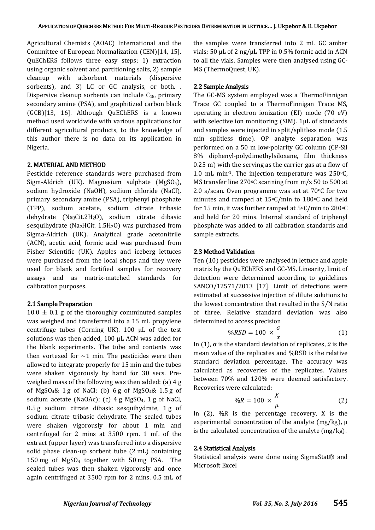Agricultural Chemists (AOAC) International and the Committee of European Normalization (CEN)[\[14,](#page-5-5) [15\]](#page-5-6). QuEChERS follows three easy steps; 1) extraction using organic solvent and partitioning salts, 2) sample cleanup with adsorbent materials (dispersive sorbents), and 3) LC or GC analysis, or both. . Dispersive cleanup sorbents can include  $C_{18}$ , primary secondary amine (PSA), and graphitized carbon black (GCB)[\[13,](#page-5-4) [16\]](#page-5-7). Although QuEChERS is a known method used worldwide with various applications for different agricultural products, to the knowledge of this author there is no data on its application in Nigeria.

#### 2. MATERIAL AND METHOD

Pesticide reference standards were purchased from Sigm-Aldrich (UK). Magnesium sulphate (MgSO4), sodium hydroxide (NaOH), sodium chloride (NaCl), primary secondary amine (PSA), triphenyl phosphate (TPP), sodium acetate, sodium citrate tribasic dehydrate (Na<sub>3</sub>Cit.2H<sub>2</sub>O), sodium citrate dibasic sesquihydrate (Na<sub>2</sub>HCit.  $1.5H<sub>2</sub>O$ ) was purchased from Sigma-Aldrich (UK). Analytical grade acetonitrile (ACN), acetic acid, formic acid was purchased from Fisher Scientific (UK). Apples and iceberg lettuces were purchased from the local shops and they were used for blank and fortified samples for recovery assays and as matrix-matched standards for calibration purposes.

#### 2.1 Sample Preparation

 $10.0 \pm 0.1$  g of the thoroughly comminuted samples was weighed and transferred into a 15 mL propylene centrifuge tubes (Corning UK). 100 µL of the test solutions was then added, 100 µL ACN was added for the blank experiments. The tube and contents was then vortexed for  $\sim$ 1 min. The pesticides were then allowed to integrate properly for 15 min and the tubes were shaken vigorously by hand for 30 secs. Preweighed mass of the following was then added: (a) 4 g of MgSO<sub>4</sub>& 1g of NaCl; (b) 6g of MgSO<sub>4</sub>& 1.5g of sodium acetate (NaOAc); (c)  $4 g MgSO<sub>4</sub>$ ,  $1 g of NaCl$ , 0.5 g sodium citrate dibasic sesquihydrate, 1 g of sodium citrate tribasic dehydrate. The sealed tubes were shaken vigorously for about 1 min and centrifuged for 2 mins at 3500 rpm. 1 mL of the extract (upper layer) was transferred into a dispersive solid phase clean-up sorbent tube (2 mL) containing 150 mg of MgSO<sup>4</sup> together with 50 mg PSA. The sealed tubes was then shaken vigorously and once again centrifuged at 3500 rpm for 2 mins. 0.5 mL of the samples were transferred into 2 mL GC amber vials; 50  $\mu$ L of 2 ng/ $\mu$ L TPP in 0.5% formic acid in ACN to all the vials. Samples were then analysed using GC-MS (ThermoQuest, UK).

#### 2.2 Sample Analysis

The GC-MS system employed was a ThermoFinnigan Trace GC coupled to a ThermoFinnigan Trace MS, operating in electron ionization (EI) mode (70 eV) with selective ion monitoring (SIM). 1µL of standards and samples were injected in split/splitless mode (1.5 min splitless time). OP analyte separation was performed on a 50 m low-polarity GC column (CP-Sil 8% diphenyl-polydimethylsiloxane, film thickness 0.25 m) with the serving as the carrier gas at a flow of 1.0 mL min<sup>-1</sup>. The injection temperature was  $250^{\circ}$ C, MS transfer line 270 $\circ$ C scanning from m/z 50 to 500 at 2.0 s/scan. Oven programme was set at  $70^{\circ}$ C for two minutes and ramped at  $15^{\circ}$ C/min to  $180^{\circ}$ C and held for 15 min, it was further ramped at  $5^{\circ}$ C/min to 280 $^{\circ}$ C and held for 20 mins. Internal standard of triphenyl phosphate was added to all calibration standards and sample extracts.

#### 2.3 Method Validation

Ten (10) pesticides were analysed in lettuce and apple matrix by the QuEChERS and GC-MS. Linearity, limit of detection were determined according to guidelines SANCO/12571/2013 [\[17\]](#page-5-8). Limit of detections were estimated at successive injection of dilute solutions to the lowest concentration that resulted in the S/N ratio of three. Relative standard deviation was also determined to access precision

$$
\%RSD = 100 \times \frac{\sigma}{\bar{x}} \tag{1}
$$

In (1), σ is the standard deviation of replicates,  $\bar{x}$  is the mean value of the replicates and %RSD is the relative standard deviation percentage. The accuracy was calculated as recoveries of the replicates. Values between 70% and 120% were deemed satisfactory. Recoveries were calculated:

$$
\%R = 100 \times \frac{X}{\mu} \tag{2}
$$

In (2), %R is the percentage recovery, X is the experimental concentration of the analyte (mg/kg),  $\mu$ is the calculated concentration of the analyte (mg/kg).

#### 2.4 Statistical Analysis

Statistical analysis were done using SigmaStat® and Microsoft Excel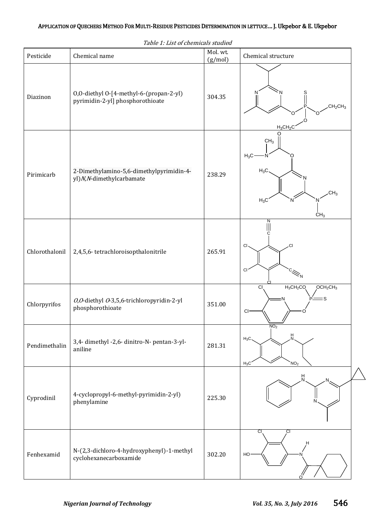|                | Table 1. List of chemicals studied                                          |                     |                                                                                     |
|----------------|-----------------------------------------------------------------------------|---------------------|-------------------------------------------------------------------------------------|
| Pesticide      | Chemical name                                                               | Mol. wt.<br>(g/mol) | Chemical structure                                                                  |
| Diazinon       | 0,0-diethyl 0-[4-methyl-6-(propan-2-yl)<br>pyrimidin-2-yl] phosphorothioate | 304.35              | N<br>CH <sub>2</sub> CH <sub>3</sub><br>$H_3CH_2C$                                  |
| Pirimicarb     | 2-Dimethylamino-5,6-dimethylpyrimidin-4-<br>yl) N, N-dimethylcarbamate      | 238.29              | CH <sub>3</sub><br>$H_3C$<br>$H_3C$<br>CH <sub>3</sub><br>$H_3C$<br>CH <sub>3</sub> |
| Chlorothalonil | 2,4,5,6-tetrachloroisopthalonitrile                                         | 265.91              | CI<br>СI<br>$\mathsf{C}\mathsf{I}$                                                  |
| Chlorpyrifos   | O,O-diethyl O-3,5,6-trichloropyridin-2-yl<br>phosphorothioate               | 351.00              | $H_3CH_2CO$<br>OCH <sub>2</sub> CH <sub>3</sub><br>$\overline{C}$<br>S<br><b>CI</b> |
| Pendimethalin  | 3,4- dimethyl -2,6- dinitro-N- pentan-3-yl-<br>aniline                      | 281.31              | 1902<br>$\frac{H}{N}$<br>$H_3C$<br>NO <sub>2</sub><br>$H_3C$                        |
| Cyprodinil     | 4-cyclopropyl-6-methyl-pyrimidin-2-yl)<br>phenylamine                       | 225.30              | H                                                                                   |
| Fenhexamid     | N-(2,3-dichloro-4-hydroxyphenyl)-1-methyl<br>cyclohexanecarboxamide         | 302.20              | СI<br>CI<br>HO                                                                      |

Table 1: List of chemicals studied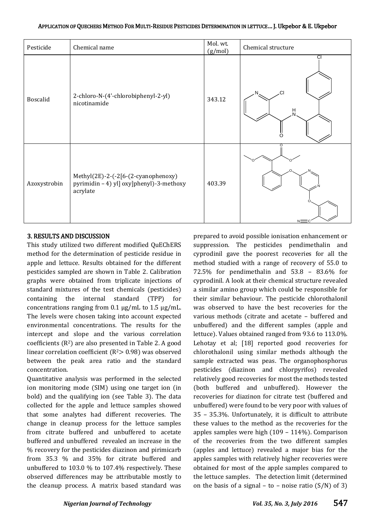| Pesticide    | Chemical name                                                                               | Mol. wt.<br>(g/mol) | Chemical structure         |
|--------------|---------------------------------------------------------------------------------------------|---------------------|----------------------------|
| Boscalid     | 2-chloro-N-(4'-chlorobiphenyl-2-yl)<br>nicotinamide                                         | 343.12              | $\overline{c}$<br>.CI<br>н |
| Azoxystrobin | Methyl(2E)-2-(-2[6-(2-cyanophenoxy)<br>pyrimidin - 4) yl] oxy]phenyl)-3-methoxy<br>acrylate | 403.39              | NΞ                         |

#### 3. RESULTS AND DISCUSSION

This study utilized two different modified QuEChERS method for the determination of pesticide residue in apple and lettuce. Results obtained for the different pesticides sampled are shown in Table 2. Calibration graphs were obtained from triplicate injections of standard mixtures of the test chemicals (pesticides) containing the internal standard (TPP) for concentrations ranging from 0.1 µg/mL to 1.5 µg/mL. The levels were chosen taking into account expected environmental concentrations. The results for the intercept and slope and the various correlation coefficients  $(R^2)$  are also presented in Table 2. A good linear correlation coefficient ( $R<sup>2</sup>$ ) was observed between the peak area ratio and the standard concentration.

Quantitative analysis was performed in the selected ion monitoring mode (SIM) using one target ion (in bold) and the qualifying ion (see Table 3). The data collected for the apple and lettuce samples showed that some analytes had different recoveries. The change in cleanup process for the lettuce samples from citrate buffered and unbuffered to acetate buffered and unbuffered revealed an increase in the % recovery for the pesticides diazinon and pirimicarb from 35.3 % and 35% for citrate buffered and unbuffered to 103.0 % to 107.4% respectively. These observed differences may be attributable mostly to the cleanup process. A matrix based standard was

prepared to avoid possible ionisation enhancement or suppression. The pesticides pendimethalin and cyprodinil gave the poorest recoveries for all the method studied with a range of recovery of 55.0 to 72.5% for pendimethalin and 53.8 – 83.6% for cyprodinil. A look at their chemical structure revealed a similar amino group which could be responsible for their similar behaviour. The pesticide chlorothalonil was observed to have the best recoveries for the various methods (citrate and acetate – buffered and unbuffered) and the different samples (apple and lettuce). Values obtained ranged from 93.6 to 113.0%. Lehotay et al; [\[18\]](#page-5-9) reported good recoveries for chlorothalonil using similar methods although the sample extracted was peas. The organophosphorus pesticides (diazinon and chlorpyrifos) revealed relatively good recoveries for most the methods tested (both buffered and unbuffered). However the recoveries for diazinon for citrate test (buffered and unbuffered) were found to be very poor with values of 35 – 35.3%. Unfortunately, it is difficult to attribute these values to the method as the recoveries for the apples samples were high (109 – 114%). Comparison of the recoveries from the two different samples (apples and lettuce) revealed a major bias for the apples samples with relatively higher recoveries were obtained for most of the apple samples compared to the lettuce samples. The detection limit (determined on the basis of a signal – to – noise ratio  $(S/N)$  of 3)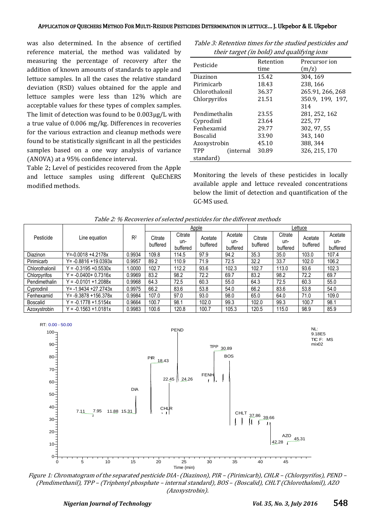was also determined. In the absence of certified reference material, the method was validated by measuring the percentage of recovery after the addition of known amounts of standards to apple and lettuce samples. In all the cases the relative standard deviation (RSD) values obtained for the apple and lettuce samples were less than 12% which are acceptable values for these types of complex samples. The limit of detection was found to be 0.003µg/L with a true value of 0.006 mg/kg. Differences in recoveries for the various extraction and cleanup methods were found to be statistically significant in all the pesticides samples based on a one way analysis of variance (ANOVA) at a 95% confidence interval.

Table 2: Level of pesticides recovered from the Apple and lettuce samples using different QuEChERS modified methods.

| Table 3: Retention times for the studied pesticides and |  |
|---------------------------------------------------------|--|
| their target (in bold) and qualifying ions              |  |

| Pesticide                | Retention | Precursor ion    |
|--------------------------|-----------|------------------|
|                          | time      | (m/z)            |
| Diazinon                 | 15.42     | 304, 169         |
| Pirimicarh               | 18.43     | 238, 166         |
| Chlorothalonil           | 36.37     | 265.91, 266, 268 |
| Chlorpyrifos             | 21.51     | 350.9, 199, 197, |
|                          |           | 314              |
| Pendimethalin            | 23.55     | 281, 252, 162    |
| Cyprodinil               | 23.64     | 225,77           |
| Fenhexamid               | 29.77     | 302, 97, 55      |
| <b>Boscalid</b>          | 33.90     | 343, 140         |
| Azoxystrobin             | 45.10     | 388, 344         |
| TPP<br><i>(internal)</i> | 30.89     | 326, 215, 170    |
| standard)                |           |                  |

Monitoring the levels of these pesticides in locally available apple and lettuce revealed concentrations below the limit of detection and quantification of the GC-MS used.

|                 |                          |        | Apple               |                            |                     | Lettuce                    |                     |                            |                     |                            |
|-----------------|--------------------------|--------|---------------------|----------------------------|---------------------|----------------------------|---------------------|----------------------------|---------------------|----------------------------|
| Pesticide       | Line equation            | $R^2$  | Citrate<br>buffered | Citrate<br>un-<br>buffered | Acetate<br>buffered | Acetate<br>un-<br>buffered | Citrate<br>buffered | Citrate<br>un-<br>buffered | Acetate<br>buffered | Acetate<br>un-<br>buffered |
| Diazinon        | Y=-0.0018 +4.2178x       | 0.9934 | 109.8               | 114.5                      | 97.9                | 94.2                       | 35.3                | 35.0                       | 103.0               | 107.4                      |
| Pirimicarb      | $Y = -0.8816 + 19.0393x$ | 0.9957 | 89.2                | 110.9                      | 71.9                | 72.5                       | 32.2                | 33.7                       | 102.0               | 106.2                      |
| Chlorothalonil  | $Y = -0.3195 + 0.5530x$  | 0000   | 102.7               | 112.2                      | 93.6                | 102.3                      | 102.7               | 113.0                      | 93.6                | 102.3                      |
| Chlorpyrifos    | $= -0.0400 + 0.7316x$    | 0.9969 | 83.2                | 98.2                       | 72.2                | 69.7                       | 83.2                | 98.2                       | 72.2                | 69.7                       |
| Pendimethalin   | $' = -0.0101 + 1.2088x$  | 0.9968 | 64.3                | 72.5                       | 60.3                | 55.0                       | 64.3                | 72.5                       | 60.3                | 55.0                       |
| Cyprodinil      | Y= -1.9434 +27.2743x     | 0.9975 | 66.2                | 83.6                       | 53.8                | 54.0                       | 66.2                | 83.6                       | 53.8                | 54.0                       |
| Fenhexamid      | Y= -9.3878 +156.378x     | 0.9984 | 107.0               | 97.0                       | 93.0                | 98.0                       | 65.0                | 64.0                       | 71.0                | 109.0                      |
| <b>Boscalid</b> | $Y = -0.1778 + 1.5154x$  | 0.9664 | 100.7               | 98.1                       | 102.0               | 99.3                       | 102.0               | 99.3                       | 100.7               | 98.1                       |
| Azoxystrobin    | $Y = -0.1563 + 1.0181x$  | 0.9983 | 100.6               | 120.8                      | 100.7               | 105.3                      | 120.5               | 115.0                      | 98.9                | 85.9                       |



Figure 1: Chromatogram of the separated pesticide DIA- (Diazinon), PIR – (Pirimicarb), CHLR – (Chlorpyrifos), PEND – (Pendimethanil), TPP – (Triphenyl phosphate – internal standard), BOS – (Boscalid), CHLT (Chlorothalonil), AZO (Azoxystrobin).